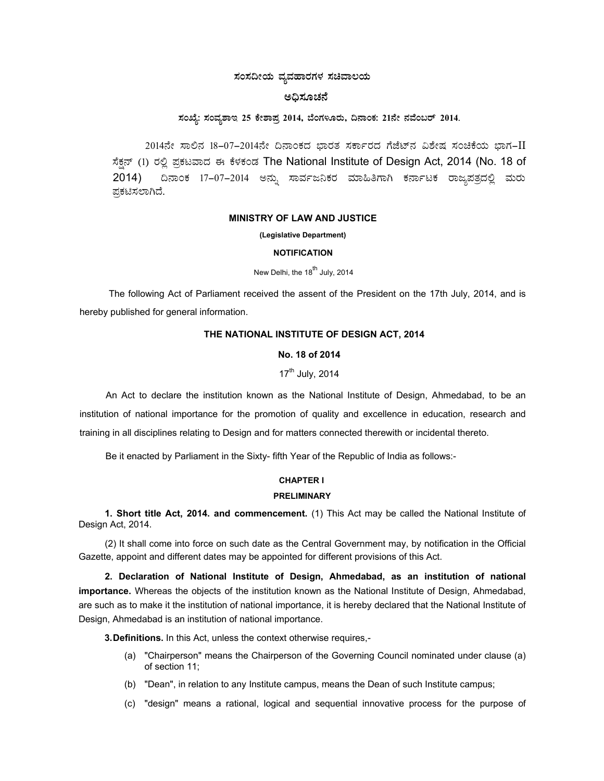# $\,$ ಸಂಸದೀಯ ವ್ಯವಹಾರಗಳ ಸಚಿವಾಲಯ

# ಅಧಿಸೂಚನೆ

# $\pi$ ಂಖ್ಯೆ: ಸಂವ್ಯಶಾಇ 25 ಕೇಶಾಪ್ರ 2014, ಬೆಂಗಳೂರು, ದಿನಾಂಕ: 21ನೇ ನವೆಂಬರ್ 2014.

2014ನೇ ಸಾಲಿನ 18–07–2014ನೇ ದಿನಾಂಕದ ಭಾರತ ಸರ್ಕಾರದ ಗೆಜೆಟ್ನ ವಿಶೇಷ ಸಂಚಿಕೆಯ ಭಾಗ–II ಸೆಕ್ಷನ್ (1) ರಲ್ಲಿ ಪ್ರಕಟವಾದ ಈ ಕೆಳಕಂಡ The National Institute of Design Act, 2014 (No. 18 of 2014) ದಿನಾಂಕ 17–07–2014 ಅನ್ನು ಸಾರ್ವಜನಿಕರ ಮಾಹಿತಿಗಾಗಿ ಕರ್ನಾಟಕ ರಾಜ್ಯಪತ್ರದಲ್ಲಿ ಮರು ಪಕಟಿಸಲಾಗಿದೆ.

#### **MINISTRY OF LAW AND JUSTICE**

**(Legislative Department)**

#### **NOTIFICATION**

New Delhi, the 18<sup>th</sup> July, 2014

The following Act of Parliament received the assent of the President on the 17th July, 2014, and is hereby published for general information.

# **THE NATIONAL INSTITUTE OF DESIGN ACT, 2014**

### **No. 18 of 2014**

17<sup>th</sup> July, 2014

An Act to declare the institution known as the National Institute of Design, Ahmedabad, to be an institution of national importance for the promotion of quality and excellence in education, research and training in all disciplines relating to Design and for matters connected therewith or incidental thereto.

Be it enacted by Parliament in the Sixty- fifth Year of the Republic of India as follows:-

### **CHAPTER I**

#### **PRELIMINARY**

**1. Short title Act, 2014. and commencement.** (1) This Act may be called the National Institute of Design Act, 2014.

(2) It shall come into force on such date as the Central Government may, by notification in the Official Gazette, appoint and different dates may be appointed for different provisions of this Act.

**2. Declaration of National Institute of Design, Ahmedabad, as an institution of national importance.** Whereas the objects of the institution known as the National Institute of Design, Ahmedabad, are such as to make it the institution of national importance, it is hereby declared that the National Institute of Design, Ahmedabad is an institution of national importance.

**3. Definitions.** In this Act, unless the context otherwise requires,-

- (a) "Chairperson" means the Chairperson of the Governing Council nominated under clause (a) of section 11;
- (b) "Dean", in relation to any Institute campus, means the Dean of such Institute campus;
- (c) "design" means a rational, logical and sequential innovative process for the purpose of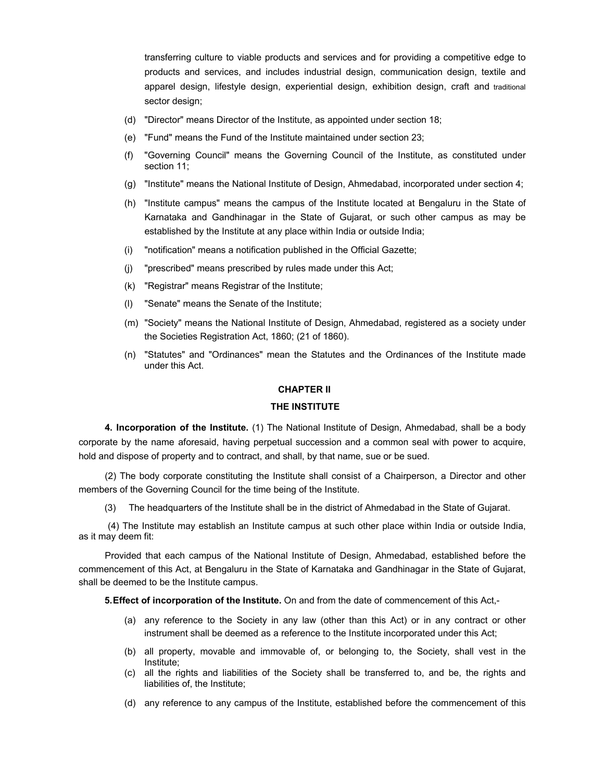transferring culture to viable products and services and for providing a competitive edge to products and services, and includes industrial design, communication design, textile and apparel design, lifestyle design, experiential design, exhibition design, craft and traditional sector design;

- (d) "Director" means Director of the Institute, as appointed under section 18;
- (e) "Fund" means the Fund of the Institute maintained under section 23;
- (f) "Governing Council" means the Governing Council of the Institute, as constituted under section 11;
- (g) "Institute" means the National Institute of Design, Ahmedabad, incorporated under section 4;
- (h) "Institute campus" means the campus of the Institute located at Bengaluru in the State of Karnataka and Gandhinagar in the State of Gujarat, or such other campus as may be established by the Institute at any place within India or outside India;
- (i) "notification" means a notification published in the Official Gazette;
- (j) "prescribed" means prescribed by rules made under this Act;
- (k) "Registrar" means Registrar of the Institute;
- (l) "Senate" means the Senate of the Institute;
- (m) "Society" means the National Institute of Design, Ahmedabad, registered as a society under the Societies Registration Act, 1860; (21 of 1860).
- (n) "Statutes" and "Ordinances" mean the Statutes and the Ordinances of the Institute made under this Act.

## **CHAPTER II**

# **THE INSTITUTE**

**4. Incorporation of the Institute.** (1) The National Institute of Design, Ahmedabad, shall be a body corporate by the name aforesaid, having perpetual succession and a common seal with power to acquire, hold and dispose of property and to contract, and shall, by that name, sue or be sued.

(2) The body corporate constituting the Institute shall consist of a Chairperson, a Director and other members of the Governing Council for the time being of the Institute.

(3) The headquarters of the Institute shall be in the district of Ahmedabad in the State of Gujarat.

 (4) The Institute may establish an Institute campus at such other place within India or outside India, as it may deem fit:

Provided that each campus of the National Institute of Design, Ahmedabad, established before the commencement of this Act, at Bengaluru in the State of Karnataka and Gandhinagar in the State of Gujarat, shall be deemed to be the Institute campus.

**5. Effect of incorporation of the Institute.** On and from the date of commencement of this Act,-

- (a) any reference to the Society in any law (other than this Act) or in any contract or other instrument shall be deemed as a reference to the Institute incorporated under this Act;
- (b) all property, movable and immovable of, or belonging to, the Society, shall vest in the Institute;
- (c) all the rights and liabilities of the Society shall be transferred to, and be, the rights and liabilities of, the Institute;
- (d) any reference to any campus of the Institute, established before the commencement of this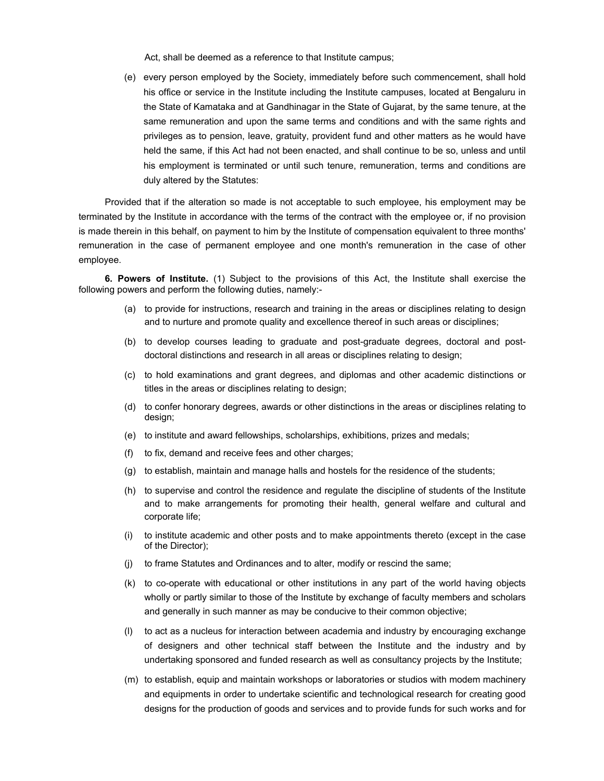Act, shall be deemed as a reference to that Institute campus;

(e) every person employed by the Society, immediately before such commencement, shall hold his office or service in the Institute including the Institute campuses, located at Bengaluru in the State of Kamataka and at Gandhinagar in the State of Gujarat, by the same tenure, at the same remuneration and upon the same terms and conditions and with the same rights and privileges as to pension, leave, gratuity, provident fund and other matters as he would have held the same, if this Act had not been enacted, and shall continue to be so, unless and until his employment is terminated or until such tenure, remuneration, terms and conditions are duly altered by the Statutes:

Provided that if the alteration so made is not acceptable to such employee, his employment may be terminated by the Institute in accordance with the terms of the contract with the employee or, if no provision is made therein in this behalf, on payment to him by the Institute of compensation equivalent to three months' remuneration in the case of permanent employee and one month's remuneration in the case of other employee.

**6. Powers of Institute.** (1) Subject to the provisions of this Act, the Institute shall exercise the following powers and perform the following duties, namely:-

- (a) to provide for instructions, research and training in the areas or disciplines relating to design and to nurture and promote quality and excellence thereof in such areas or disciplines;
- (b) to develop courses leading to graduate and post-graduate degrees, doctoral and postdoctoral distinctions and research in all areas or disciplines relating to design;
- (c) to hold examinations and grant degrees, and diplomas and other academic distinctions or titles in the areas or disciplines relating to design;
- (d) to confer honorary degrees, awards or other distinctions in the areas or disciplines relating to design;
- (e) to institute and award fellowships, scholarships, exhibitions, prizes and medals;
- (f) to fix, demand and receive fees and other charges;
- (g) to establish, maintain and manage halls and hostels for the residence of the students;
- (h) to supervise and control the residence and regulate the discipline of students of the Institute and to make arrangements for promoting their health, general welfare and cultural and corporate life;
- (i) to institute academic and other posts and to make appointments thereto (except in the case of the Director);
- (j) to frame Statutes and Ordinances and to alter, modify or rescind the same;
- (k) to co-operate with educational or other institutions in any part of the world having objects wholly or partly similar to those of the Institute by exchange of faculty members and scholars and generally in such manner as may be conducive to their common objective;
- (l) to act as a nucleus for interaction between academia and industry by encouraging exchange of designers and other technical staff between the Institute and the industry and by undertaking sponsored and funded research as well as consultancy projects by the Institute;
- (m) to establish, equip and maintain workshops or laboratories or studios with modem machinery and equipments in order to undertake scientific and technological research for creating good designs for the production of goods and services and to provide funds for such works and for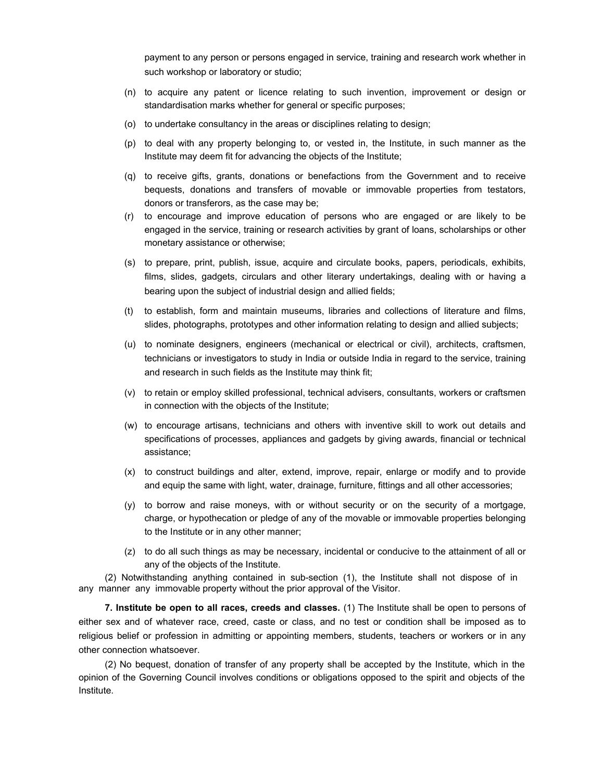payment to any person or persons engaged in service, training and research work whether in such workshop or laboratory or studio;

- (n) to acquire any patent or licence relating to such invention, improvement or design or standardisation marks whether for general or specific purposes;
- (o) to undertake consultancy in the areas or disciplines relating to design;
- (p) to deal with any property belonging to, or vested in, the Institute, in such manner as the Institute may deem fit for advancing the objects of the Institute;
- (q) to receive gifts, grants, donations or benefactions from the Government and to receive bequests, donations and transfers of movable or immovable properties from testators, donors or transferors, as the case may be;
- (r) to encourage and improve education of persons who are engaged or are likely to be engaged in the service, training or research activities by grant of loans, scholarships or other monetary assistance or otherwise;
- (s) to prepare, print, publish, issue, acquire and circulate books, papers, periodicals, exhibits, films, slides, gadgets, circulars and other literary undertakings, dealing with or having a bearing upon the subject of industrial design and allied fields;
- (t) to establish, form and maintain museums, libraries and collections of literature and films, slides, photographs, prototypes and other information relating to design and allied subjects;
- (u) to nominate designers, engineers (mechanical or electrical or civil), architects, craftsmen, technicians or investigators to study in India or outside India in regard to the service, training and research in such fields as the Institute may think fit;
- (v) to retain or employ skilled professional, technical advisers, consultants, workers or craftsmen in connection with the objects of the Institute;
- (w) to encourage artisans, technicians and others with inventive skill to work out details and specifications of processes, appliances and gadgets by giving awards, financial or technical assistance;
- (x) to construct buildings and alter, extend, improve, repair, enlarge or modify and to provide and equip the same with light, water, drainage, furniture, fittings and all other accessories;
- (y) to borrow and raise moneys, with or without security or on the security of a mortgage, charge, or hypothecation or pledge of any of the movable or immovable properties belonging to the Institute or in any other manner;
- (z) to do all such things as may be necessary, incidental or conducive to the attainment of all or any of the objects of the Institute.

(2) Notwithstanding anything contained in sub-section (1), the Institute shall not dispose of in any manner any immovable property without the prior approval of the Visitor.

**7. Institute be open to all races, creeds and classes.** (1) The Institute shall be open to persons of either sex and of whatever race, creed, caste or class, and no test or condition shall be imposed as to religious belief or profession in admitting or appointing members, students, teachers or workers or in any other connection whatsoever.

(2) No bequest, donation of transfer of any property shall be accepted by the Institute, which in the opinion of the Governing Council involves conditions or obligations opposed to the spirit and objects of the Institute.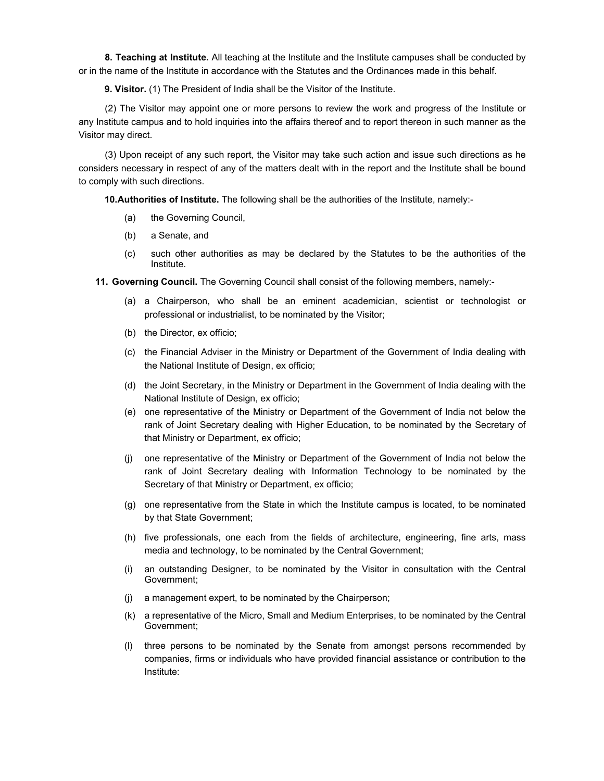**8. Teaching at Institute.** All teaching at the Institute and the Institute campuses shall be conducted by or in the name of the Institute in accordance with the Statutes and the Ordinances made in this behalf.

**9. Visitor.** (1) The President of India shall be the Visitor of the Institute.

(2) The Visitor may appoint one or more persons to review the work and progress of the Institute or any Institute campus and to hold inquiries into the affairs thereof and to report thereon in such manner as the Visitor may direct.

(3) Upon receipt of any such report, the Visitor may take such action and issue such directions as he considers necessary in respect of any of the matters dealt with in the report and the Institute shall be bound to comply with such directions.

**10. Authorities of Institute.** The following shall be the authorities of the Institute, namely:-

- (a) the Governing Council,
- (b) a Senate, and
- (c) such other authorities as may be declared by the Statutes to be the authorities of the Institute.
- **11. Governing Council.** The Governing Council shall consist of the following members, namely:-
	- (a) a Chairperson, who shall be an eminent academician, scientist or technologist or professional or industrialist, to be nominated by the Visitor;
	- (b) the Director, ex officio;
	- (c) the Financial Adviser in the Ministry or Department of the Government of India dealing with the National Institute of Design, ex officio;
	- (d) the Joint Secretary, in the Ministry or Department in the Government of India dealing with the National Institute of Design, ex officio;
	- (e) one representative of the Ministry or Department of the Government of India not below the rank of Joint Secretary dealing with Higher Education, to be nominated by the Secretary of that Ministry or Department, ex officio;
	- (j) one representative of the Ministry or Department of the Government of India not below the rank of Joint Secretary dealing with Information Technology to be nominated by the Secretary of that Ministry or Department, ex officio;
	- (g) one representative from the State in which the Institute campus is located, to be nominated by that State Government;
	- (h) five professionals, one each from the fields of architecture, engineering, fine arts, mass media and technology, to be nominated by the Central Government;
	- (i) an outstanding Designer, to be nominated by the Visitor in consultation with the Central Government;
	- (j) a management expert, to be nominated by the Chairperson;
	- (k) a representative of the Micro, Small and Medium Enterprises, to be nominated by the Central Government;
	- (l) three persons to be nominated by the Senate from amongst persons recommended by companies, firms or individuals who have provided financial assistance or contribution to the Institute: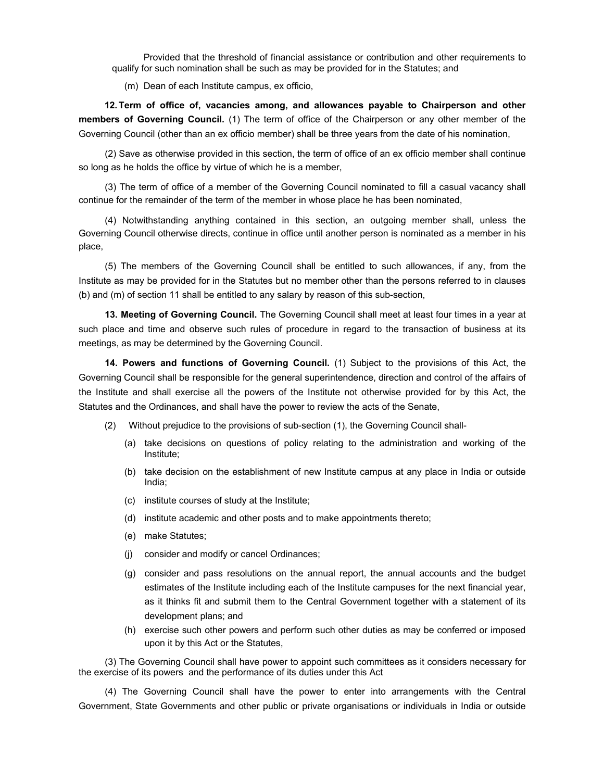Provided that the threshold of financial assistance or contribution and other requirements to qualify for such nomination shall be such as may be provided for in the Statutes; and

(m) Dean of each Institute campus, ex officio,

**12. Term of office of, vacancies among, and allowances payable to Chairperson and other members of Governing Council.** (1) The term of office of the Chairperson or any other member of the Governing Council (other than an ex officio member) shall be three years from the date of his nomination,

(2) Save as otherwise provided in this section, the term of office of an ex officio member shall continue so long as he holds the office by virtue of which he is a member,

(3) The term of office of a member of the Governing Council nominated to fill a casual vacancy shall continue for the remainder of the term of the member in whose place he has been nominated,

(4) Notwithstanding anything contained in this section, an outgoing member shall, unless the Governing Council otherwise directs, continue in office until another person is nominated as a member in his place,

(5) The members of the Governing Council shall be entitled to such allowances, if any, from the Institute as may be provided for in the Statutes but no member other than the persons referred to in clauses (b) and (m) of section 11 shall be entitled to any salary by reason of this sub-section,

**13. Meeting of Governing Council.** The Governing Council shall meet at least four times in a year at such place and time and observe such rules of procedure in regard to the transaction of business at its meetings, as may be determined by the Governing Council.

**14. Powers and functions of Governing Council.** (1) Subject to the provisions of this Act, the Governing Council shall be responsible for the general superintendence, direction and control of the affairs of the Institute and shall exercise all the powers of the Institute not otherwise provided for by this Act, the Statutes and the Ordinances, and shall have the power to review the acts of the Senate,

- (2) Without prejudice to the provisions of sub-section (1), the Governing Council shall-
	- (a) take decisions on questions of policy relating to the administration and working of the Institute;
	- (b) take decision on the establishment of new Institute campus at any place in India or outside India;
	- (c) institute courses of study at the Institute;
	- (d) institute academic and other posts and to make appointments thereto;
	- (e) make Statutes;
	- (j) consider and modify or cancel Ordinances;
	- (g) consider and pass resolutions on the annual report, the annual accounts and the budget estimates of the Institute including each of the Institute campuses for the next financial year, as it thinks fit and submit them to the Central Government together with a statement of its development plans; and
	- (h) exercise such other powers and perform such other duties as may be conferred or imposed upon it by this Act or the Statutes,

(3) The Governing Council shall have power to appoint such committees as it considers necessary for the exercise of its powers and the performance of its duties under this Act

(4) The Governing Council shall have the power to enter into arrangements with the Central Government, State Governments and other public or private organisations or individuals in India or outside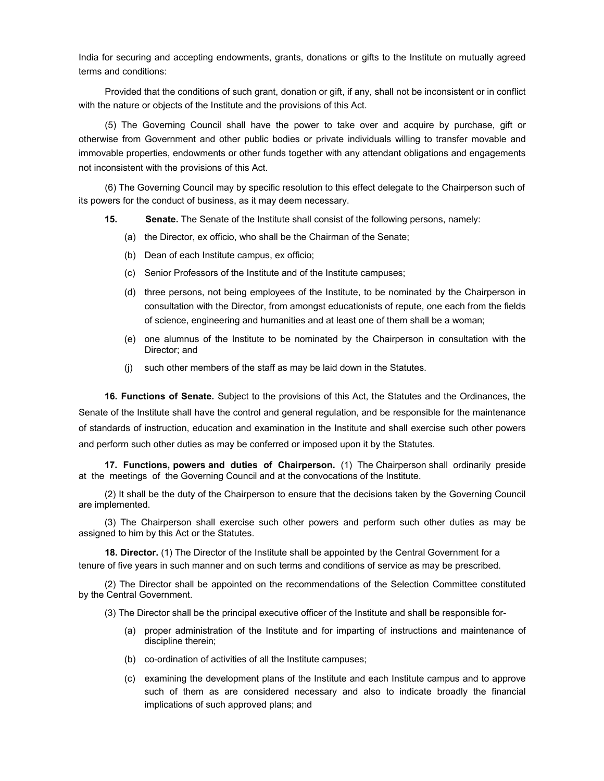India for securing and accepting endowments, grants, donations or gifts to the Institute on mutually agreed terms and conditions:

Provided that the conditions of such grant, donation or gift, if any, shall not be inconsistent or in conflict with the nature or objects of the Institute and the provisions of this Act.

(5) The Governing Council shall have the power to take over and acquire by purchase, gift or otherwise from Government and other public bodies or private individuals willing to transfer movable and immovable properties, endowments or other funds together with any attendant obligations and engagements not inconsistent with the provisions of this Act.

(6) The Governing Council may by specific resolution to this effect delegate to the Chairperson such of its powers for the conduct of business, as it may deem necessary.

- **15. Senate.** The Senate of the Institute shall consist of the following persons, namely:
	- (a) the Director, ex officio, who shall be the Chairman of the Senate;
	- (b) Dean of each Institute campus, ex officio;
	- (c) Senior Professors of the Institute and of the Institute campuses;
	- (d) three persons, not being employees of the Institute, to be nominated by the Chairperson in consultation with the Director, from amongst educationists of repute, one each from the fields of science, engineering and humanities and at least one of them shall be a woman;
	- (e) one alumnus of the Institute to be nominated by the Chairperson in consultation with the Director; and
	- (j) such other members of the staff as may be laid down in the Statutes.

**16. Functions of Senate.** Subject to the provisions of this Act, the Statutes and the Ordinances, the Senate of the Institute shall have the control and general regulation, and be responsible for the maintenance of standards of instruction, education and examination in the Institute and shall exercise such other powers and perform such other duties as may be conferred or imposed upon it by the Statutes.

**17. Functions, powers and duties of Chairperson.** (1) The Chairperson shall ordinarily preside at the meetings of the Governing Council and at the convocations of the Institute.

(2) It shall be the duty of the Chairperson to ensure that the decisions taken by the Governing Council are implemented.

(3) The Chairperson shall exercise such other powers and perform such other duties as may be assigned to him by this Act or the Statutes.

**18. Director.** (1) The Director of the Institute shall be appointed by the Central Government for a tenure of five years in such manner and on such terms and conditions of service as may be prescribed.

(2) The Director shall be appointed on the recommendations of the Selection Committee constituted by the Central Government.

(3) The Director shall be the principal executive officer of the Institute and shall be responsible for-

- (a) proper administration of the Institute and for imparting of instructions and maintenance of discipline therein;
- (b) co-ordination of activities of all the Institute campuses;
- (c) examining the development plans of the Institute and each Institute campus and to approve such of them as are considered necessary and also to indicate broadly the financial implications of such approved plans; and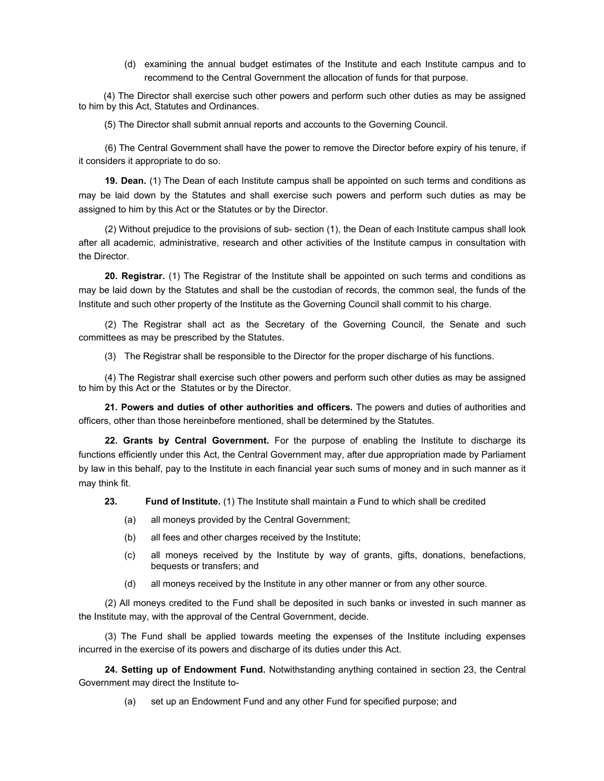(d) examining the annual budget estimates of the Institute and each Institute campus and to recommend to the Central Government the allocation of funds for that purpose.

(4) The Director shall exercise such other powers and perform such other duties as may be assigned to him by this Act, Statutes and Ordinances.

(5) The Director shall submit annual reports and accounts to the Governing Council.

(6) The Central Government shall have the power to remove the Director before expiry of his tenure, if it considers it appropriate to do so.

**19. Dean.** (1) The Dean of each Institute campus shall be appointed on such terms and conditions as may be laid down by the Statutes and shall exercise such powers and perform such duties as may be assigned to him by this Act or the Statutes or by the Director.

(2) Without prejudice to the provisions of sub- section (1), the Dean of each Institute campus shall look after all academic, administrative, research and other activities of the Institute campus in consultation with the Director.

**20. Registrar.** (1) The Registrar of the Institute shall be appointed on such terms and conditions as may be laid down by the Statutes and shall be the custodian of records, the common seal, the funds of the Institute and such other property of the Institute as the Governing Council shall commit to his charge.

(2) The Registrar shall act as the Secretary of the Governing Council, the Senate and such committees as may be prescribed by the Statutes.

(3) The Registrar shall be responsible to the Director for the proper discharge of his functions.

(4) The Registrar shall exercise such other powers and perform such other duties as may be assigned to him by this Act or the Statutes or by the Director.

**21. Powers and duties of other authorities and officers.** The powers and duties of authorities and officers, other than those hereinbefore mentioned, shall be determined by the Statutes.

**22. Grants by Central Government.** For the purpose of enabling the Institute to discharge its functions efficiently under this Act, the Central Government may, after due appropriation made by Parliament by law in this behalf, pay to the Institute in each financial year such sums of money and in such manner as it may think fit.

**23. Fund of Institute.** (1) The Institute shall maintain a Fund to which shall be credited

- (a) all moneys provided by the Central Government;
- (b) all fees and other charges received by the Institute;
- (c) all moneys received by the Institute by way of grants, gifts, donations, benefactions, bequests or transfers; and
- (d) all moneys received by the Institute in any other manner or from any other source.

(2) All moneys credited to the Fund shall be deposited in such banks or invested in such manner as the Institute may, with the approval of the Central Government, decide.

(3) The Fund shall be applied towards meeting the expenses of the Institute including expenses incurred in the exercise of its powers and discharge of its duties under this Act.

**24. Setting up of Endowment Fund.** Notwithstanding anything contained in section 23, the Central Government may direct the Institute to-

(a) set up an Endowment Fund and any other Fund for specified purpose; and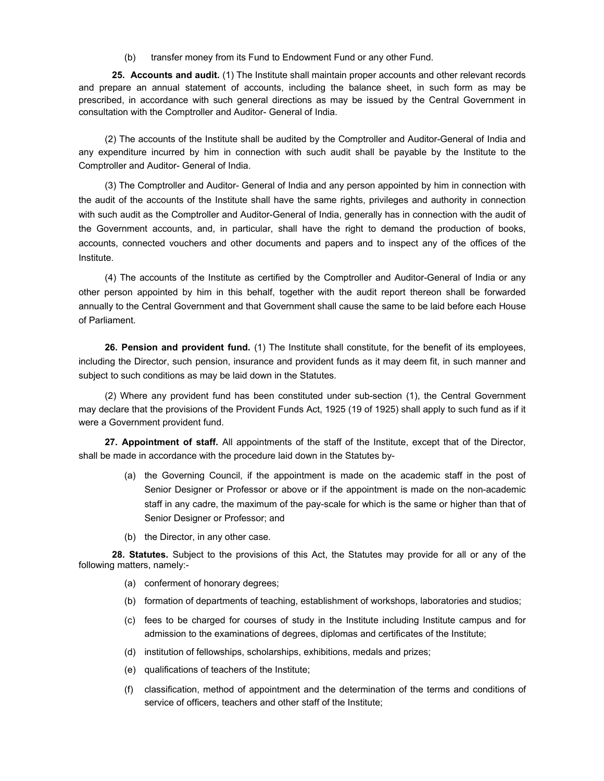(b) transfer money from its Fund to Endowment Fund or any other Fund.

**25. Accounts and audit.** (1) The Institute shall maintain proper accounts and other relevant records and prepare an annual statement of accounts, including the balance sheet, in such form as may be prescribed, in accordance with such general directions as may be issued by the Central Government in consultation with the Comptroller and Auditor- General of India.

(2) The accounts of the Institute shall be audited by the Comptroller and Auditor-General of India and any expenditure incurred by him in connection with such audit shall be payable by the Institute to the Comptroller and Auditor- General of India.

(3) The Comptroller and Auditor- General of India and any person appointed by him in connection with the audit of the accounts of the Institute shall have the same rights, privileges and authority in connection with such audit as the Comptroller and Auditor-General of India, generally has in connection with the audit of the Government accounts, and, in particular, shall have the right to demand the production of books, accounts, connected vouchers and other documents and papers and to inspect any of the offices of the Institute.

(4) The accounts of the Institute as certified by the Comptroller and Auditor-General of India or any other person appointed by him in this behalf, together with the audit report thereon shall be forwarded annually to the Central Government and that Government shall cause the same to be laid before each House of Parliament.

**26. Pension and provident fund.** (1) The Institute shall constitute, for the benefit of its employees, including the Director, such pension, insurance and provident funds as it may deem fit, in such manner and subject to such conditions as may be laid down in the Statutes.

(2) Where any provident fund has been constituted under sub-section (1), the Central Government may declare that the provisions of the Provident Funds Act, 1925 (19 of 1925) shall apply to such fund as if it were a Government provident fund.

**27. Appointment of staff.** All appointments of the staff of the Institute, except that of the Director, shall be made in accordance with the procedure laid down in the Statutes by-

- (a) the Governing Council, if the appointment is made on the academic staff in the post of Senior Designer or Professor or above or if the appointment is made on the non-academic staff in any cadre, the maximum of the pay-scale for which is the same or higher than that of Senior Designer or Professor; and
- (b) the Director, in any other case.

**28. Statutes.** Subject to the provisions of this Act, the Statutes may provide for all or any of the following matters, namely:-

- (a) conferment of honorary degrees;
- (b) formation of departments of teaching, establishment of workshops, laboratories and studios;
- (c) fees to be charged for courses of study in the Institute including Institute campus and for admission to the examinations of degrees, diplomas and certificates of the Institute;
- (d) institution of fellowships, scholarships, exhibitions, medals and prizes;
- (e) qualifications of teachers of the Institute;
- (f) classification, method of appointment and the determination of the terms and conditions of service of officers, teachers and other staff of the Institute;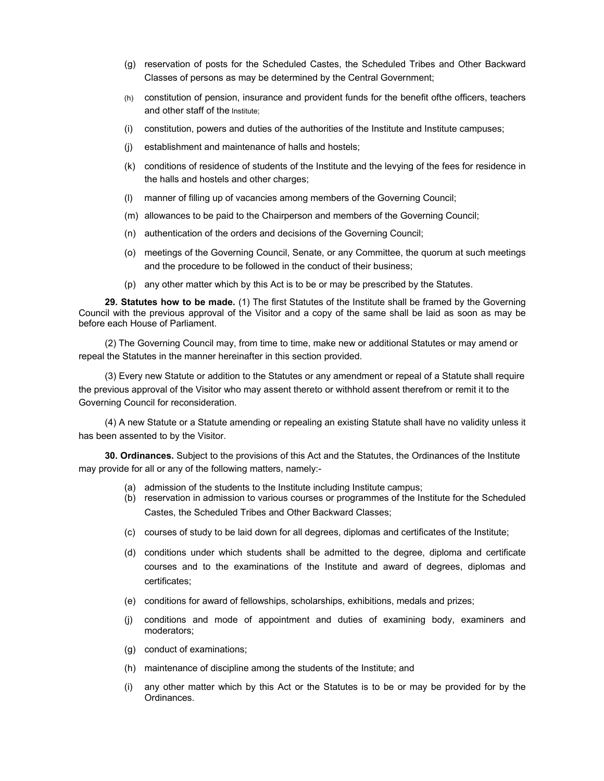- (g) reservation of posts for the Scheduled Castes, the Scheduled Tribes and Other Backward Classes of persons as may be determined by the Central Government;
- (h) constitution of pension, insurance and provident funds for the benefit ofthe officers, teachers and other staff of the Institute;
- (i) constitution, powers and duties of the authorities of the Institute and Institute campuses;
- (j) establishment and maintenance of halls and hostels;
- (k) conditions of residence of students of the Institute and the levying of the fees for residence in the halls and hostels and other charges;
- (l) manner of filling up of vacancies among members of the Governing Council;
- (m) allowances to be paid to the Chairperson and members of the Governing Council;
- (n) authentication of the orders and decisions of the Governing Council;
- (o) meetings of the Governing Council, Senate, or any Committee, the quorum at such meetings and the procedure to be followed in the conduct of their business;
- (p) any other matter which by this Act is to be or may be prescribed by the Statutes.

**29. Statutes how to be made.** (1) The first Statutes of the Institute shall be framed by the Governing Council with the previous approval of the Visitor and a copy of the same shall be laid as soon as may be before each House of Parliament.

(2) The Governing Council may, from time to time, make new or additional Statutes or may amend or repeal the Statutes in the manner hereinafter in this section provided.

(3) Every new Statute or addition to the Statutes or any amendment or repeal of a Statute shall require the previous approval of the Visitor who may assent thereto or withhold assent therefrom or remit it to the Governing Council for reconsideration.

(4) A new Statute or a Statute amending or repealing an existing Statute shall have no validity unless it has been assented to by the Visitor.

**30. Ordinances.** Subject to the provisions of this Act and the Statutes, the Ordinances of the Institute may provide for all or any of the following matters, namely:-

- (a) admission of the students to the Institute including Institute campus;
- (b) reservation in admission to various courses or programmes of the Institute for the Scheduled Castes, the Scheduled Tribes and Other Backward Classes;
- (c) courses of study to be laid down for all degrees, diplomas and certificates of the Institute;
- (d) conditions under which students shall be admitted to the degree, diploma and certificate courses and to the examinations of the Institute and award of degrees, diplomas and certificates;
- (e) conditions for award of fellowships, scholarships, exhibitions, medals and prizes;
- (j) conditions and mode of appointment and duties of examining body, examiners and moderators;
- (g) conduct of examinations;
- (h) maintenance of discipline among the students of the Institute; and
- (i) any other matter which by this Act or the Statutes is to be or may be provided for by the Ordinances.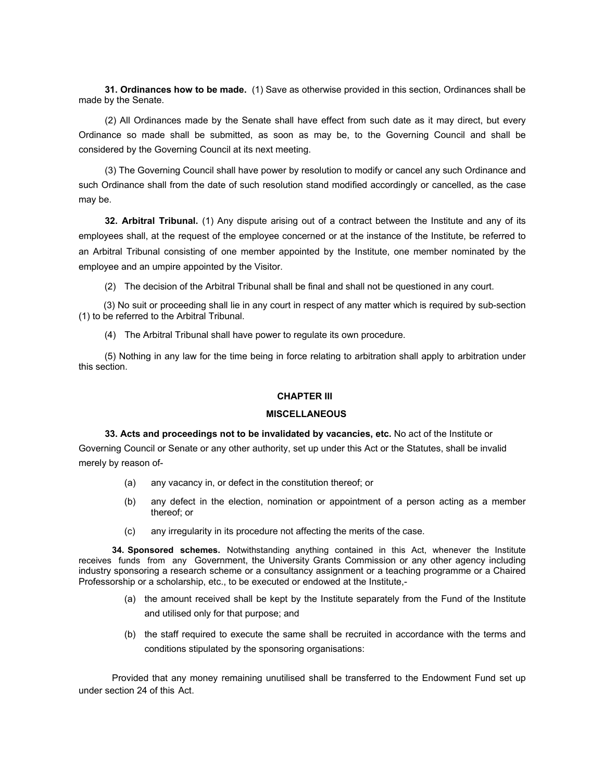**31. Ordinances how to be made.** (1) Save as otherwise provided in this section, Ordinances shall be made by the Senate.

(2) All Ordinances made by the Senate shall have effect from such date as it may direct, but every Ordinance so made shall be submitted, as soon as may be, to the Governing Council and shall be considered by the Governing Council at its next meeting.

(3) The Governing Council shall have power by resolution to modify or cancel any such Ordinance and such Ordinance shall from the date of such resolution stand modified accordingly or cancelled, as the case may be.

**32. Arbitral Tribunal.** (1) Any dispute arising out of a contract between the Institute and any of its employees shall, at the request of the employee concerned or at the instance of the Institute, be referred to an Arbitral Tribunal consisting of one member appointed by the Institute, one member nominated by the employee and an umpire appointed by the Visitor.

(2) The decision of the Arbitral Tribunal shall be final and shall not be questioned in any court.

 (3) No suit or proceeding shall lie in any court in respect of any matter which is required by sub-section (1) to be referred to the Arbitral Tribunal.

(4) The Arbitral Tribunal shall have power to regulate its own procedure.

(5) Nothing in any law for the time being in force relating to arbitration shall apply to arbitration under this section.

### **CHAPTER III**

#### **MISCELLANEOUS**

**33. Acts and proceedings not to be invalidated by vacancies, etc.** No act of the Institute or Governing Council or Senate or any other authority, set up under this Act or the Statutes, shall be invalid merely by reason of-

- (a) any vacancy in, or defect in the constitution thereof; or
- (b) any defect in the election, nomination or appointment of a person acting as a member thereof; or
- (c) any irregularity in its procedure not affecting the merits of the case.

**34. Sponsored schemes.** Notwithstanding anything contained in this Act, whenever the Institute receives funds from anyGovernment, the University Grants Commission or any other agency including industry sponsoring a research scheme or a consultancy assignment or a teaching programme or a Chaired Professorship or a scholarship, etc., to be executed or endowed at the Institute,-

- (a) the amount received shall be kept by the Institute separately from the Fund of the Institute and utilised only for that purpose; and
- (b) the staff required to execute the same shall be recruited in accordance with the terms and conditions stipulated by the sponsoring organisations:

Provided that any money remaining unutilised shall be transferred to the Endowment Fund set up under section 24 of this Act.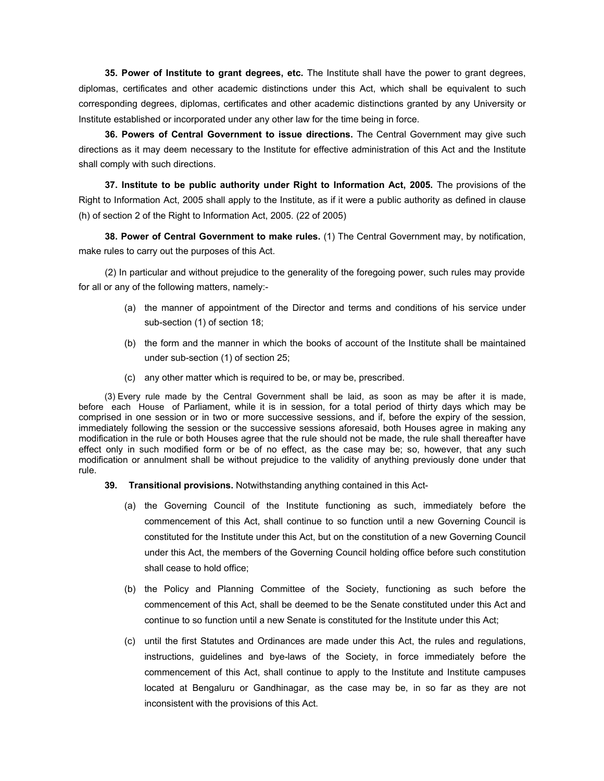**35. Power of Institute to grant degrees, etc.** The Institute shall have the power to grant degrees, diplomas, certificates and other academic distinctions under this Act, which shall be equivalent to such corresponding degrees, diplomas, certificates and other academic distinctions granted by any University or Institute established or incorporated under any other law for the time being in force.

**36. Powers of Central Government to issue directions.** The Central Government may give such directions as it may deem necessary to the Institute for effective administration of this Act and the Institute shall comply with such directions.

**37. Institute to be public authority under Right to Information Act, 2005.** The provisions of the Right to Information Act, 2005 shall apply to the Institute, as if it were a public authority as defined in clause (h) of section 2 of the Right to Information Act, 2005. (22 of 2005)

**38. Power of Central Government to make rules.** (1) The Central Government may, by notification, make rules to carry out the purposes of this Act.

(2) In particular and without prejudice to the generality of the foregoing power, such rules may provide for all or any of the following matters, namely:-

- (a) the manner of appointment of the Director and terms and conditions of his service under sub-section (1) of section 18;
- (b) the form and the manner in which the books of account of the Institute shall be maintained under sub-section (1) of section 25;
- (c) any other matter which is required to be, or may be, prescribed.

(3) Every rule made by the Central Government shall be laid, as soon as may be after it is made, before each House of Parliament, while it is in session, for a total period of thirty days which may be comprised in one session or in two or more successive sessions, and if, before the expiry of the session, immediately following the session or the successive sessions aforesaid, both Houses agree in making any modification in the rule or both Houses agree that the rule should not be made, the rule shall thereafter have effect only in such modified form or be of no effect, as the case may be; so, however, that any such modification or annulment shall be without prejudice to the validity of anything previously done under that rule.

#### **39. Transitional provisions.** Notwithstanding anything contained in this Act-

- (a) the Governing Council of the Institute functioning as such, immediately before the commencement of this Act, shall continue to so function until a new Governing Council is constituted for the Institute under this Act, but on the constitution of a new Governing Council under this Act, the members of the Governing Council holding office before such constitution shall cease to hold office;
- (b) the Policy and Planning Committee of the Society, functioning as such before the commencement of this Act, shall be deemed to be the Senate constituted under this Act and continue to so function until a new Senate is constituted for the Institute under this Act;
- (c) until the first Statutes and Ordinances are made under this Act, the rules and regulations, instructions, guidelines and bye-laws of the Society, in force immediately before the commencement of this Act, shall continue to apply to the Institute and Institute campuses located at Bengaluru or Gandhinagar, as the case may be, in so far as they are not inconsistent with the provisions of this Act.